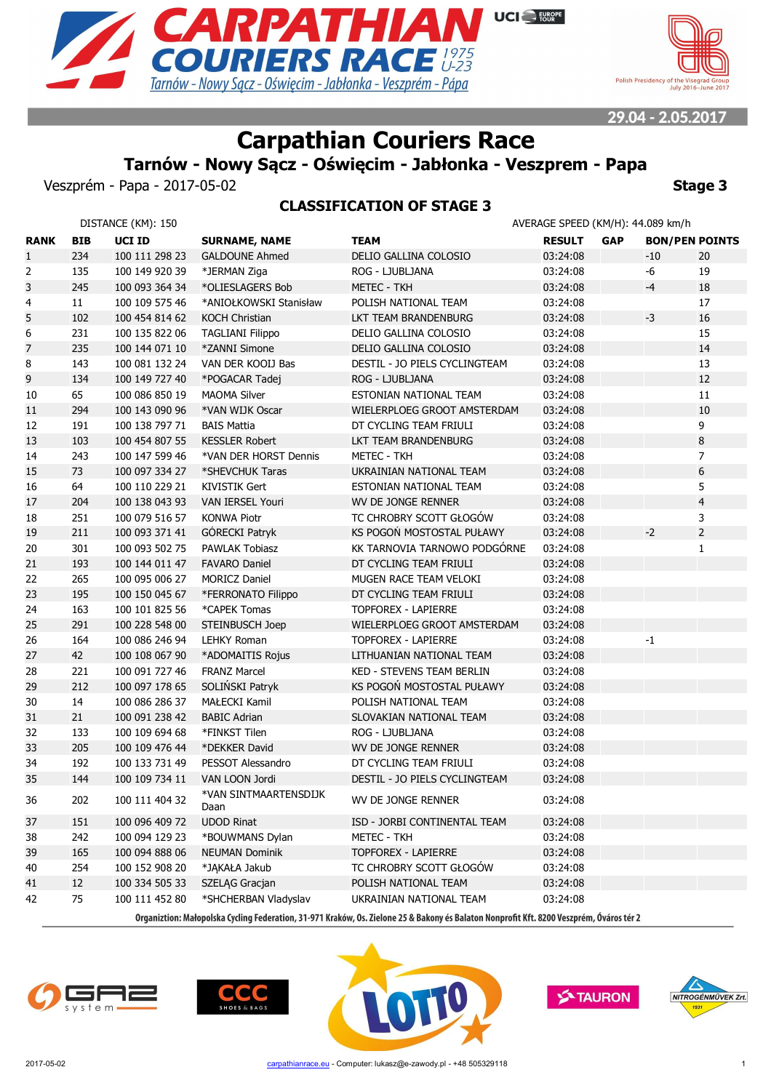



# **Carpathian Couriers Race**

## **Tarnów - Nowy Sącz - Oświęcim - Jabłonka - Veszprem - Papa**

Veszprém - Papa - 2017-05-02 **Stage 3**

## **CLASSIFICATION OF STAGE 3**

|              |            | DISTANCE (KM): 150 |                               |                                                                                                                                          | AVERAGE SPEED (KM/H): 44.089 km/h |            |                       |                |
|--------------|------------|--------------------|-------------------------------|------------------------------------------------------------------------------------------------------------------------------------------|-----------------------------------|------------|-----------------------|----------------|
| <b>RANK</b>  | <b>BIB</b> | UCI ID             | <b>SURNAME, NAME</b>          | <b>TEAM</b>                                                                                                                              | <b>RESULT</b>                     | <b>GAP</b> | <b>BON/PEN POINTS</b> |                |
| $\mathbf{1}$ | 234        | 100 111 298 23     | <b>GALDOUNE Ahmed</b>         | DELIO GALLINA COLOSIO                                                                                                                    | 03:24:08                          |            | -10                   | 20             |
| 2            | 135        | 100 149 920 39     | *JERMAN Ziga                  | ROG - LJUBLJANA                                                                                                                          | 03:24:08                          |            | -6                    | 19             |
| 3            | 245        | 100 093 364 34     | *OLIESLAGERS Bob              | METEC - TKH                                                                                                                              | 03:24:08                          |            | $-4$                  | 18             |
| 4            | 11         | 100 109 575 46     | *ANIOŁKOWSKI Stanisław        | POLISH NATIONAL TEAM                                                                                                                     | 03:24:08                          |            |                       | 17             |
| 5            | 102        | 100 454 814 62     | <b>KOCH Christian</b>         | LKT TEAM BRANDENBURG                                                                                                                     | 03:24:08                          |            | $-3$                  | 16             |
| 6            | 231        | 100 135 822 06     | <b>TAGLIANI Filippo</b>       | DELIO GALLINA COLOSIO                                                                                                                    | 03:24:08                          |            |                       | 15             |
| 7            | 235        | 100 144 071 10     | *ZANNI Simone                 | DELIO GALLINA COLOSIO                                                                                                                    | 03:24:08                          |            |                       | 14             |
| 8            | 143        | 100 081 132 24     | VAN DER KOOIJ Bas             | DESTIL - JO PIELS CYCLINGTEAM                                                                                                            | 03:24:08                          |            |                       | 13             |
| 9            | 134        | 100 149 727 40     | *POGACAR Tadej                | ROG - LJUBLJANA                                                                                                                          | 03:24:08                          |            |                       | 12             |
| 10           | 65         | 100 086 850 19     | <b>MAOMA Silver</b>           | ESTONIAN NATIONAL TEAM                                                                                                                   | 03:24:08                          |            |                       | 11             |
| 11           | 294        | 100 143 090 96     | *VAN WIJK Oscar               | WIELERPLOEG GROOT AMSTERDAM                                                                                                              | 03:24:08                          |            |                       | 10             |
| 12           | 191        | 100 138 797 71     | <b>BAIS Mattia</b>            | DT CYCLING TEAM FRIULI                                                                                                                   | 03:24:08                          |            |                       | 9              |
| 13           | 103        | 100 454 807 55     | <b>KESSLER Robert</b>         | LKT TEAM BRANDENBURG                                                                                                                     | 03:24:08                          |            |                       | 8              |
| 14           | 243        | 100 147 599 46     | *VAN DER HORST Dennis         | <b>METEC - TKH</b>                                                                                                                       | 03:24:08                          |            |                       | $\overline{7}$ |
| 15           | 73         | 100 097 334 27     | *SHEVCHUK Taras               | UKRAINIAN NATIONAL TEAM                                                                                                                  | 03:24:08                          |            |                       | 6              |
| 16           | 64         | 100 110 229 21     | <b>KIVISTIK Gert</b>          | ESTONIAN NATIONAL TEAM                                                                                                                   | 03:24:08                          |            |                       | 5              |
| 17           | 204        | 100 138 043 93     | VAN IERSEL Youri              | WV DE JONGE RENNER                                                                                                                       | 03:24:08                          |            |                       | $\overline{4}$ |
| $18\,$       | 251        | 100 079 516 57     | <b>KONWA Piotr</b>            | TC CHROBRY SCOTT GŁOGÓW                                                                                                                  | 03:24:08                          |            |                       | 3              |
| 19           | 211        | 100 093 371 41     | GÓRECKI Patryk                | KS POGOŃ MOSTOSTAL PUŁAWY                                                                                                                | 03:24:08                          |            | $-2$                  | $\overline{2}$ |
| 20           | 301        | 100 093 502 75     | PAWLAK Tobiasz                | KK TARNOVIA TARNOWO PODGÓRNE                                                                                                             | 03:24:08                          |            |                       | $\mathbf{1}$   |
| 21           | 193        | 100 144 011 47     | <b>FAVARO Daniel</b>          | DT CYCLING TEAM FRIULI                                                                                                                   | 03:24:08                          |            |                       |                |
| 22           | 265        | 100 095 006 27     | <b>MORICZ Daniel</b>          | MUGEN RACE TEAM VELOKI                                                                                                                   | 03:24:08                          |            |                       |                |
| 23           | 195        | 100 150 045 67     | *FERRONATO Filippo            | DT CYCLING TEAM FRIULI                                                                                                                   | 03:24:08                          |            |                       |                |
| 24           | 163        | 100 101 825 56     | *CAPEK Tomas                  | <b>TOPFOREX - LAPIERRE</b>                                                                                                               | 03:24:08                          |            |                       |                |
| 25           | 291        | 100 228 548 00     | STEINBUSCH Joep               | WIELERPLOEG GROOT AMSTERDAM                                                                                                              | 03:24:08                          |            |                       |                |
| 26           | 164        | 100 086 246 94     | <b>LEHKY Roman</b>            | <b>TOPFOREX - LAPIERRE</b>                                                                                                               | 03:24:08                          |            | $-1$                  |                |
| 27           | 42         | 100 108 067 90     | *ADOMAITIS Rojus              | LITHUANIAN NATIONAL TEAM                                                                                                                 | 03:24:08                          |            |                       |                |
| 28           | 221        | 100 091 727 46     | <b>FRANZ Marcel</b>           | KED - STEVENS TEAM BERLIN                                                                                                                | 03:24:08                          |            |                       |                |
| 29           | 212        | 100 097 178 65     | SOLIŃSKI Patryk               | KS POGOŃ MOSTOSTAL PUŁAWY                                                                                                                | 03:24:08                          |            |                       |                |
| 30           | 14         | 100 086 286 37     | MAŁECKI Kamil                 | POLISH NATIONAL TEAM                                                                                                                     | 03:24:08                          |            |                       |                |
| 31           | 21         | 100 091 238 42     | <b>BABIC Adrian</b>           | SLOVAKIAN NATIONAL TEAM                                                                                                                  | 03:24:08                          |            |                       |                |
| 32           | 133        | 100 109 694 68     | *FINKST Tilen                 | ROG - LJUBLJANA                                                                                                                          | 03:24:08                          |            |                       |                |
| 33           | 205        | 100 109 476 44     | *DEKKER David                 | WV DE JONGE RENNER                                                                                                                       | 03:24:08                          |            |                       |                |
| 34           | 192        | 100 133 731 49     | PESSOT Alessandro             | DT CYCLING TEAM FRIULI                                                                                                                   | 03:24:08                          |            |                       |                |
| 35           | 144        | 100 109 734 11     | VAN LOON Jordi                | DESTIL - JO PIELS CYCLINGTEAM                                                                                                            | 03:24:08                          |            |                       |                |
| 36           | 202        | 100 111 404 32     | *VAN SINTMAARTENSDIJK<br>Daan | WV DE JONGE RENNER                                                                                                                       | 03:24:08                          |            |                       |                |
| 37           | 151        | 100 096 409 72     | <b>UDOD Rinat</b>             | ISD - JORBI CONTINENTAL TEAM                                                                                                             | 03:24:08                          |            |                       |                |
| 38           | 242        | 100 094 129 23     | *BOUWMANS Dylan               | <b>METEC - TKH</b>                                                                                                                       | 03:24:08                          |            |                       |                |
| 39           | 165        | 100 094 888 06     | <b>NEUMAN Dominik</b>         | <b>TOPFOREX - LAPIERRE</b>                                                                                                               | 03:24:08                          |            |                       |                |
| 40           | 254        | 100 152 908 20     | *JĄKAŁA Jakub                 | TC CHROBRY SCOTT GŁOGÓW                                                                                                                  | 03:24:08                          |            |                       |                |
| 41           | 12         | 100 334 505 33     | SZELĄG Gracjan                | POLISH NATIONAL TEAM                                                                                                                     | 03:24:08                          |            |                       |                |
| 42           | 75         | 100 111 452 80     | *SHCHERBAN Vladyslav          | UKRAINIAN NATIONAL TEAM                                                                                                                  | 03:24:08                          |            |                       |                |
|              |            |                    |                               | Organiztion: Małopolska Cycling Federation, 31-971 Kraków, Os. Zielone 25 & Bakony és Balaton Nonprofit Kft. 8200 Veszprém, Óváros tér 2 |                                   |            |                       |                |







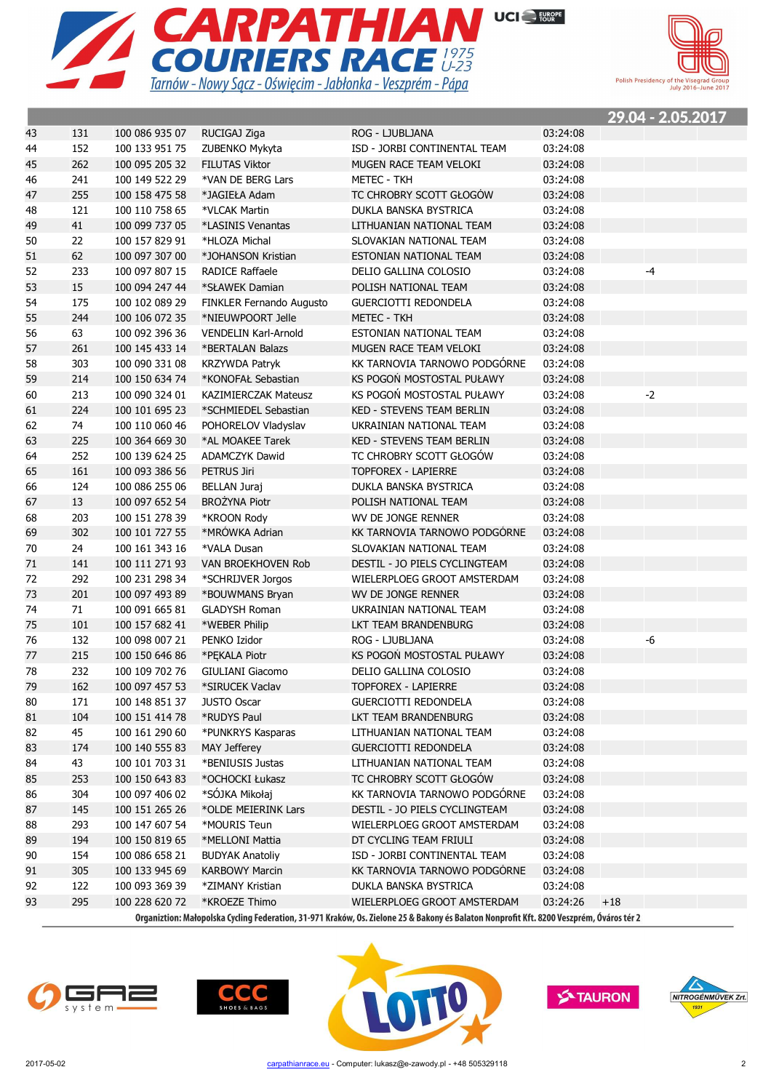



|    |     |                |                             |                                                                                                                                          |          |       | <u> 29.04 - 2.05.2017</u> |  |
|----|-----|----------------|-----------------------------|------------------------------------------------------------------------------------------------------------------------------------------|----------|-------|---------------------------|--|
| 43 | 131 | 100 086 935 07 | RUCIGAJ Ziga                | ROG - LJUBLJANA                                                                                                                          | 03:24:08 |       |                           |  |
| 44 | 152 | 100 133 951 75 | ZUBENKO Mykyta              | ISD - JORBI CONTINENTAL TEAM                                                                                                             | 03:24:08 |       |                           |  |
| 45 | 262 | 100 095 205 32 | <b>FILUTAS Viktor</b>       | MUGEN RACE TEAM VELOKI                                                                                                                   | 03:24:08 |       |                           |  |
| 46 | 241 | 100 149 522 29 | *VAN DE BERG Lars           | METEC - TKH                                                                                                                              | 03:24:08 |       |                           |  |
| 47 | 255 | 100 158 475 58 | *JAGIEŁA Adam               | TC CHROBRY SCOTT GŁOGÓW                                                                                                                  | 03:24:08 |       |                           |  |
| 48 | 121 | 100 110 758 65 | *VLCAK Martin               | DUKLA BANSKA BYSTRICA                                                                                                                    | 03:24:08 |       |                           |  |
| 49 | 41  | 100 099 737 05 | *LASINIS Venantas           | LITHUANIAN NATIONAL TEAM                                                                                                                 | 03:24:08 |       |                           |  |
| 50 | 22  | 100 157 829 91 | *HLOZA Michal               | SLOVAKIAN NATIONAL TEAM                                                                                                                  | 03:24:08 |       |                           |  |
| 51 | 62  | 100 097 307 00 | *JOHANSON Kristian          | ESTONIAN NATIONAL TEAM                                                                                                                   | 03:24:08 |       |                           |  |
| 52 | 233 | 100 097 807 15 | <b>RADICE Raffaele</b>      | DELIO GALLINA COLOSIO                                                                                                                    | 03:24:08 |       | $-4$                      |  |
| 53 | 15  | 100 094 247 44 | *SŁAWEK Damian              | POLISH NATIONAL TEAM                                                                                                                     | 03:24:08 |       |                           |  |
| 54 | 175 | 100 102 089 29 | FINKLER Fernando Augusto    | <b>GUERCIOTTI REDONDELA</b>                                                                                                              | 03:24:08 |       |                           |  |
| 55 | 244 | 100 106 072 35 | *NIEUWPOORT Jelle           | <b>METEC - TKH</b>                                                                                                                       | 03:24:08 |       |                           |  |
| 56 | 63  | 100 092 396 36 | <b>VENDELIN Karl-Arnold</b> | ESTONIAN NATIONAL TEAM                                                                                                                   | 03:24:08 |       |                           |  |
| 57 | 261 | 100 145 433 14 | *BERTALAN Balazs            | MUGEN RACE TEAM VELOKI                                                                                                                   | 03:24:08 |       |                           |  |
| 58 | 303 | 100 090 331 08 | <b>KRZYWDA Patryk</b>       | KK TARNOVIA TARNOWO PODGÓRNE                                                                                                             | 03:24:08 |       |                           |  |
| 59 | 214 | 100 150 634 74 | *KONOFAŁ Sebastian          | KS POGOŃ MOSTOSTAL PUŁAWY                                                                                                                | 03:24:08 |       |                           |  |
| 60 | 213 | 100 090 324 01 | <b>KAZIMIERCZAK Mateusz</b> | KS POGOŃ MOSTOSTAL PUŁAWY                                                                                                                | 03:24:08 |       | $-2$                      |  |
| 61 | 224 | 100 101 695 23 | *SCHMIEDEL Sebastian        | <b>KED - STEVENS TEAM BERLIN</b>                                                                                                         | 03:24:08 |       |                           |  |
| 62 | 74  | 100 110 060 46 | POHORELOV Vladyslav         | UKRAINIAN NATIONAL TEAM                                                                                                                  | 03:24:08 |       |                           |  |
| 63 | 225 | 100 364 669 30 | *AL MOAKEE Tarek            | <b>KED - STEVENS TEAM BERLIN</b>                                                                                                         | 03:24:08 |       |                           |  |
| 64 | 252 | 100 139 624 25 | <b>ADAMCZYK Dawid</b>       | TC CHROBRY SCOTT GŁOGÓW                                                                                                                  | 03:24:08 |       |                           |  |
| 65 | 161 | 100 093 386 56 | PETRUS Jiri                 | <b>TOPFOREX - LAPIERRE</b>                                                                                                               | 03:24:08 |       |                           |  |
| 66 | 124 | 100 086 255 06 | <b>BELLAN Juraj</b>         | DUKLA BANSKA BYSTRICA                                                                                                                    | 03:24:08 |       |                           |  |
| 67 | 13  | 100 097 652 54 | <b>BROŻYNA Piotr</b>        | POLISH NATIONAL TEAM                                                                                                                     | 03:24:08 |       |                           |  |
| 68 | 203 | 100 151 278 39 | *KROON Rody                 | WV DE JONGE RENNER                                                                                                                       | 03:24:08 |       |                           |  |
| 69 | 302 | 100 101 727 55 | *MRÓWKA Adrian              | KK TARNOVIA TARNOWO PODGÓRNE                                                                                                             | 03:24:08 |       |                           |  |
| 70 | 24  | 100 161 343 16 | *VALA Dusan                 | SLOVAKIAN NATIONAL TEAM                                                                                                                  | 03:24:08 |       |                           |  |
| 71 | 141 | 100 111 271 93 | VAN BROEKHOVEN Rob          | DESTIL - JO PIELS CYCLINGTEAM                                                                                                            | 03:24:08 |       |                           |  |
| 72 | 292 | 100 231 298 34 | *SCHRIJVER Jorgos           | WIELERPLOEG GROOT AMSTERDAM                                                                                                              | 03:24:08 |       |                           |  |
| 73 | 201 | 100 097 493 89 | *BOUWMANS Bryan             | WV DE JONGE RENNER                                                                                                                       | 03:24:08 |       |                           |  |
| 74 | 71  | 100 091 665 81 | <b>GLADYSH Roman</b>        | UKRAINIAN NATIONAL TEAM                                                                                                                  | 03:24:08 |       |                           |  |
| 75 | 101 | 100 157 682 41 | *WEBER Philip               | LKT TEAM BRANDENBURG                                                                                                                     | 03:24:08 |       |                           |  |
| 76 | 132 | 100 098 007 21 | PENKO Izidor                | ROG - LJUBLJANA                                                                                                                          | 03:24:08 |       | -6                        |  |
| 77 | 215 | 100 150 646 86 | *PĘKALA Piotr               | KS POGOŃ MOSTOSTAL PUŁAWY                                                                                                                | 03:24:08 |       |                           |  |
| 78 | 232 | 100 109 702 76 | GIULIANI Giacomo            | DELIO GALLINA COLOSIO                                                                                                                    | 03:24:08 |       |                           |  |
| 79 | 162 | 100 097 457 53 | *SIRUCEK Vaclav             | <b>TOPFOREX - LAPIERRE</b>                                                                                                               | 03:24:08 |       |                           |  |
| 80 | 171 | 100 148 851 37 | <b>JUSTO Oscar</b>          | <b>GUERCIOTTI REDONDELA</b>                                                                                                              | 03:24:08 |       |                           |  |
| 81 | 104 | 100 151 414 78 | *RUDYS Paul                 | LKT TEAM BRANDENBURG                                                                                                                     | 03:24:08 |       |                           |  |
| 82 | 45  | 100 161 290 60 | *PUNKRYS Kasparas           | LITHUANIAN NATIONAL TEAM                                                                                                                 | 03:24:08 |       |                           |  |
| 83 | 174 | 100 140 555 83 | MAY Jefferey                | <b>GUERCIOTTI REDONDELA</b>                                                                                                              | 03:24:08 |       |                           |  |
| 84 | 43  | 100 101 703 31 | *BENIUSIS Justas            | LITHUANIAN NATIONAL TEAM                                                                                                                 | 03:24:08 |       |                           |  |
| 85 | 253 | 100 150 643 83 | *OCHOCKI Łukasz             | TC CHROBRY SCOTT GŁOGÓW                                                                                                                  | 03:24:08 |       |                           |  |
| 86 | 304 | 100 097 406 02 | *SÓJKA Mikołaj              | KK TARNOVIA TARNOWO PODGÓRNE                                                                                                             | 03:24:08 |       |                           |  |
| 87 | 145 | 100 151 265 26 | *OLDE MEIERINK Lars         | DESTIL - JO PIELS CYCLINGTEAM                                                                                                            | 03:24:08 |       |                           |  |
| 88 | 293 | 100 147 607 54 | *MOURIS Teun                | WIELERPLOEG GROOT AMSTERDAM                                                                                                              | 03:24:08 |       |                           |  |
| 89 | 194 | 100 150 819 65 | *MELLONI Mattia             | DT CYCLING TEAM FRIULI                                                                                                                   | 03:24:08 |       |                           |  |
| 90 | 154 | 100 086 658 21 | <b>BUDYAK Anatoliy</b>      | ISD - JORBI CONTINENTAL TEAM                                                                                                             | 03:24:08 |       |                           |  |
| 91 | 305 | 100 133 945 69 | <b>KARBOWY Marcin</b>       | KK TARNOVIA TARNOWO PODGORNE                                                                                                             | 03:24:08 |       |                           |  |
| 92 | 122 | 100 093 369 39 | *ZIMANY Kristian            | DUKLA BANSKA BYSTRICA                                                                                                                    | 03:24:08 |       |                           |  |
| 93 | 295 | 100 228 620 72 | *KROEZE Thimo               | WIELERPLOEG GROOT AMSTERDAM                                                                                                              | 03:24:26 | $+18$ |                           |  |
|    |     |                |                             | Organiztion: Małopolska Cycling Federation, 31-971 Kraków, Os. Zielone 25 & Bakony és Balaton Nonprofit Kft. 8200 Veszprém. Óváros tér 2 |          |       |                           |  |

₹ 5F vstem





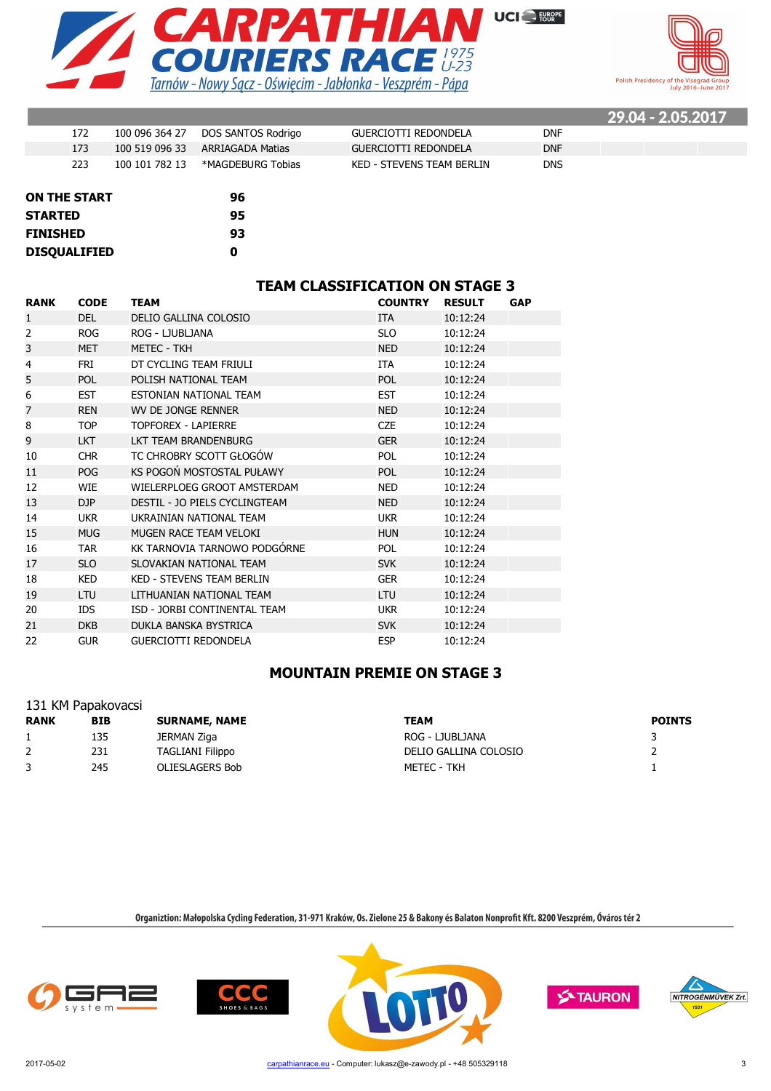



 $\overline{\phantom{a}}$ 

|     |                |                                   |                           |            | <b>29.04 - 2.05.2017</b> |  |
|-----|----------------|-----------------------------------|---------------------------|------------|--------------------------|--|
| 172 |                | 100 096 364 27 DOS SANTOS Rodrigo | GUERCIOTTI REDONDELA      | <b>DNF</b> |                          |  |
| 173 | 100 519 096 33 | ARRIAGADA Matias                  | GUERCIOTTI REDONDELA      | <b>DNF</b> |                          |  |
| 223 | 100 101 782 13 | *MAGDEBURG Tobias                 | KED - STEVENS TEAM BERLIN | <b>DNS</b> |                          |  |
|     |                |                                   |                           |            |                          |  |

| <b>ON THE START</b> | 96 |
|---------------------|----|
| <b>STARTED</b>      | 95 |
| <b>FINISHED</b>     | 93 |
| <b>DISOUALIFIED</b> | Ω  |

## **TEAM CLASSIFICATION ON STAGE 3**

| <b>RANK</b>    | <b>CODE</b> | <b>TEAM</b>                   | <b>COUNTRY</b> | <b>RESULT</b> | <b>GAP</b> |
|----------------|-------------|-------------------------------|----------------|---------------|------------|
| 1              | DEL         | DELIO GALLINA COLOSIO         | <b>ITA</b>     | 10:12:24      |            |
| 2              | <b>ROG</b>  | ROG - LJUBLJANA               | <b>SLO</b>     | 10:12:24      |            |
| 3              | <b>MET</b>  | <b>METEC - TKH</b>            | <b>NED</b>     | 10:12:24      |            |
| 4              | <b>FRI</b>  | DT CYCLING TEAM FRIULI        | <b>ITA</b>     | 10:12:24      |            |
| 5              | POL         | POLISH NATIONAL TEAM          | POL            | 10:12:24      |            |
| 6              | <b>EST</b>  | ESTONIAN NATIONAL TEAM        | <b>EST</b>     | 10:12:24      |            |
| $\overline{7}$ | <b>REN</b>  | WV DE JONGE RENNER            | <b>NED</b>     | 10:12:24      |            |
| 8              | <b>TOP</b>  | <b>TOPFOREX - LAPIERRE</b>    | <b>CZE</b>     | 10:12:24      |            |
| 9              | <b>LKT</b>  | LKT TEAM BRANDENBURG          | <b>GER</b>     | 10:12:24      |            |
| 10             | <b>CHR</b>  | TC CHROBRY SCOTT GŁOGÓW       | <b>POL</b>     | 10:12:24      |            |
| 11             | <b>POG</b>  | KS POGOŃ MOSTOSTAL PUŁAWY     | <b>POL</b>     | 10:12:24      |            |
| 12             | <b>WIE</b>  | WIELERPLOEG GROOT AMSTERDAM   | <b>NED</b>     | 10:12:24      |            |
| 13             | DJP         | DESTIL - JO PIELS CYCLINGTEAM | <b>NED</b>     | 10:12:24      |            |
| 14             | <b>UKR</b>  | UKRAINIAN NATIONAL TEAM       | <b>UKR</b>     | 10:12:24      |            |
| 15             | <b>MUG</b>  | MUGEN RACE TEAM VELOKI        | <b>HUN</b>     | 10:12:24      |            |
| 16             | <b>TAR</b>  | KK TARNOVIA TARNOWO PODGÓRNE  | <b>POL</b>     | 10:12:24      |            |
| 17             | <b>SLO</b>  | SLOVAKIAN NATIONAL TEAM       | <b>SVK</b>     | 10:12:24      |            |
| 18             | KED         | KED - STEVENS TEAM BERLIN     | <b>GER</b>     | 10:12:24      |            |
| 19             | <b>LTU</b>  | LITHUANIAN NATIONAL TEAM      | <b>LTU</b>     | 10:12:24      |            |
| 20             | <b>IDS</b>  | ISD - JORBI CONTINENTAL TEAM  | <b>UKR</b>     | 10:12:24      |            |
| 21             | <b>DKB</b>  | DUKLA BANSKA BYSTRICA         | <b>SVK</b>     | 10:12:24      |            |
| 22             | <b>GUR</b>  | <b>GUERCIOTTI REDONDELA</b>   | <b>ESP</b>     | 10:12:24      |            |

## **MOUNTAIN PREMIE ON STAGE 3**

| 131 KM Papakovacsi |            |                         |                       |               |  |  |  |
|--------------------|------------|-------------------------|-----------------------|---------------|--|--|--|
| <b>RANK</b>        | <b>BIB</b> | <b>SURNAME, NAME</b>    | TEAM                  | <b>POINTS</b> |  |  |  |
|                    | 135        | JERMAN Ziga             | ROG - LJUBLJANA       |               |  |  |  |
|                    | 231        | <b>TAGLIANI Filippo</b> | DELIO GALLINA COLOSIO |               |  |  |  |
|                    | 245        | <b>OLIESLAGERS Bob</b>  | METEC - TKH           |               |  |  |  |







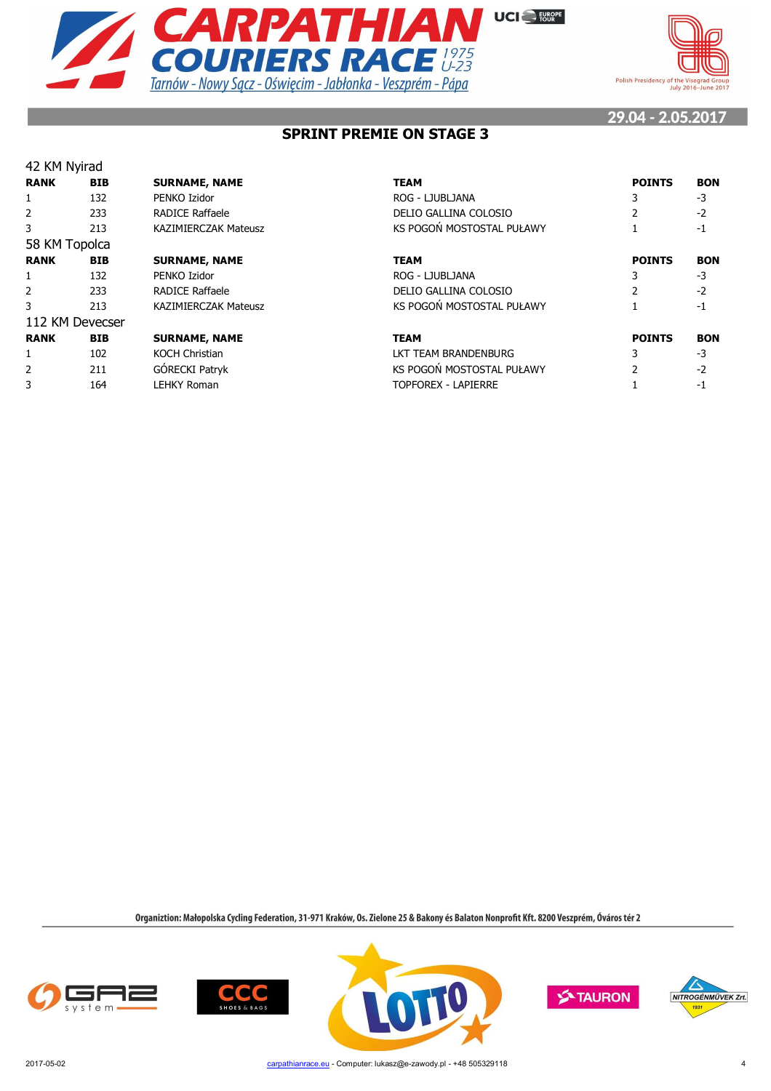



## **SPRINT PREMIE ON STAGE 3**

| 42 KM Nyirad   |                 |                             |                            |               |            |
|----------------|-----------------|-----------------------------|----------------------------|---------------|------------|
| <b>RANK</b>    | <b>BIB</b>      | <b>SURNAME, NAME</b>        | <b>TEAM</b>                | <b>POINTS</b> | <b>BON</b> |
|                | 132             | PENKO Izidor                | ROG - LJUBLJANA            |               | $-3$       |
| 2              | 233             | <b>RADICE Raffaele</b>      | DELIO GALLINA COLOSIO      |               | $-2$       |
| 3              | 213             | <b>KAZIMIERCZAK Mateusz</b> | KS POGOŃ MOSTOSTAL PUŁAWY  |               | -1         |
| 58 KM Topolca  |                 |                             |                            |               |            |
| <b>RANK</b>    | <b>BIB</b>      | <b>SURNAME, NAME</b>        | <b>TEAM</b>                | <b>POINTS</b> | <b>BON</b> |
|                | 132             | PENKO Izidor                | ROG - LJUBLJANA            |               | -3         |
| 2              | 233             | <b>RADICE Raffaele</b>      | DELIO GALLINA COLOSIO      |               | $-2$       |
| 3              | 213             | <b>KAZIMIERCZAK Mateusz</b> | KS POGOŃ MOSTOSTAL PUŁAWY  |               | -1         |
|                | 112 KM Devecser |                             |                            |               |            |
| <b>RANK</b>    | <b>BIB</b>      | <b>SURNAME, NAME</b>        | <b>TEAM</b>                | <b>POINTS</b> | <b>BON</b> |
|                | 102             | <b>KOCH Christian</b>       | LKT TEAM BRANDENBURG       | 3             | -3         |
| $\overline{2}$ | 211             | GÓRECKI Patryk              | KS POGOŃ MOSTOSTAL PUŁAWY  |               | $-2$       |
| 3              | 164             | <b>LEHKY Roman</b>          | <b>TOPFOREX - LAPIERRE</b> |               | -1         |









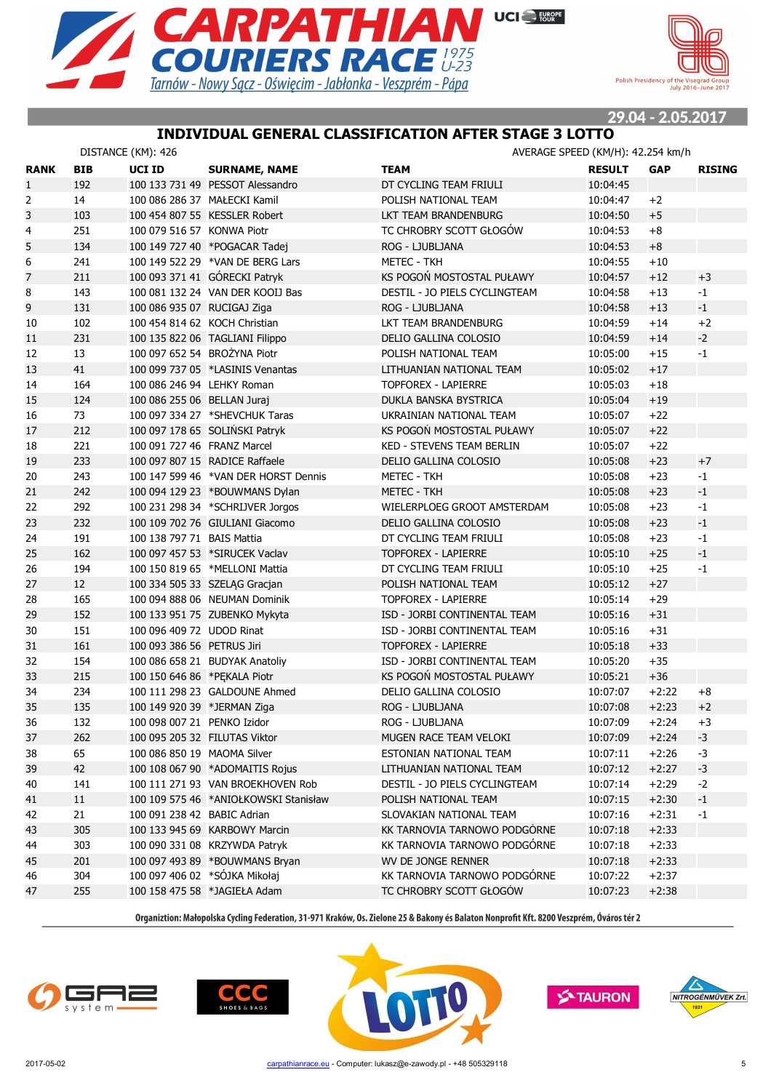



## **INDIVIDUAL GENERAL CLASSIFICATION AFTER STAGE 3 LOTTO**

|                |            | DISTANCE (KM): 426            |                                       | AVERAGE SPEED (KM/H): 42.254 km/h |               |            |               |
|----------------|------------|-------------------------------|---------------------------------------|-----------------------------------|---------------|------------|---------------|
| <b>RANK</b>    | <b>BIB</b> | <b>UCI ID</b>                 | <b>SURNAME, NAME</b>                  | <b>TEAM</b>                       | <b>RESULT</b> | <b>GAP</b> | <b>RISING</b> |
| $\mathbf{1}$   | 192        |                               | 100 133 731 49 PESSOT Alessandro      | DT CYCLING TEAM FRIULI            | 10:04:45      |            |               |
| $\overline{2}$ | 14         | 100 086 286 37 MAŁECKI Kamil  |                                       | POLISH NATIONAL TEAM              | 10:04:47      | $+2$       |               |
| 3              | 103        |                               | 100 454 807 55 KESSLER Robert         | LKT TEAM BRANDENBURG              | 10:04:50      | $+5$       |               |
| 4              | 251        | 100 079 516 57 KONWA Piotr    |                                       | TC CHROBRY SCOTT GŁOGÓW           | 10:04:53      | $+8$       |               |
| 5              | 134        |                               | 100 149 727 40 *POGACAR Tadej         | ROG - LJUBLJANA                   | 10:04:53      | $+8$       |               |
| 6              | 241        |                               | 100 149 522 29 *VAN DE BERG Lars      | <b>METEC - TKH</b>                | 10:04:55      | $+10$      |               |
| $\overline{7}$ | 211        |                               | 100 093 371 41 GÓRECKI Patryk         | KS POGOŃ MOSTOSTAL PUŁAWY         | 10:04:57      | $+12$      | $+3$          |
| 8              | 143        |                               | 100 081 132 24 VAN DER KOOIJ Bas      | DESTIL - JO PIELS CYCLINGTEAM     | 10:04:58      | $+13$      | $-1$          |
| 9              | 131        | 100 086 935 07 RUCIGAJ Ziga   |                                       | ROG - LJUBLJANA                   | 10:04:58      | $+13$      | $-1$          |
| 10             | 102        | 100 454 814 62 KOCH Christian |                                       | LKT TEAM BRANDENBURG              | 10:04:59      | $+14$      | $+2$          |
| 11             | 231        |                               | 100 135 822 06 TAGLIANI Filippo       | DELIO GALLINA COLOSIO             | 10:04:59      | $+14$      | $-2$          |
| 12             | 13         | 100 097 652 54 BROŻYNA Piotr  |                                       | POLISH NATIONAL TEAM              | 10:05:00      | $+15$      | $-1$          |
| 13             | 41         |                               | 100 099 737 05 *LASINIS Venantas      | LITHUANIAN NATIONAL TEAM          | 10:05:02      | $+17$      |               |
| 14             | 164        | 100 086 246 94 LEHKY Roman    |                                       | <b>TOPFOREX - LAPIERRE</b>        | 10:05:03      | $+18$      |               |
| 15             | 124        | 100 086 255 06 BELLAN Juraj   |                                       | DUKLA BANSKA BYSTRICA             | 10:05:04      | $+19$      |               |
| 16             | 73         |                               | 100 097 334 27 *SHEVCHUK Taras        | UKRAINIAN NATIONAL TEAM           | 10:05:07      | $+22$      |               |
| 17             | 212        |                               | 100 097 178 65 SOLIŃSKI Patryk        | KS POGOŃ MOSTOSTAL PUŁAWY         | 10:05:07      | $+22$      |               |
| 18             | 221        | 100 091 727 46 FRANZ Marcel   |                                       | <b>KED - STEVENS TEAM BERLIN</b>  | 10:05:07      | $+22$      |               |
| 19             | 233        |                               | 100 097 807 15 RADICE Raffaele        | DELIO GALLINA COLOSIO             | 10:05:08      | $+23$      | $+7$          |
| 20             | 243        |                               | 100 147 599 46 *VAN DER HORST Dennis  | <b>METEC - TKH</b>                | 10:05:08      | $+23$      | $-1$          |
| 21             | 242        |                               | 100 094 129 23 *BOUWMANS Dylan        | <b>METEC - TKH</b>                | 10:05:08      | $+23$      | $-1$          |
| 22             | 292        |                               | 100 231 298 34 *SCHRIJVER Jorgos      | WIELERPLOEG GROOT AMSTERDAM       | 10:05:08      | $+23$      | $-1$          |
| 23             | 232        |                               | 100 109 702 76 GIULIANI Giacomo       | DELIO GALLINA COLOSIO             | 10:05:08      | $+23$      | $-1$          |
| 24             | 191        | 100 138 797 71 BAIS Mattia    |                                       | DT CYCLING TEAM FRIULI            | 10:05:08      | $+23$      | $-1$          |
| 25             | 162        |                               | 100 097 457 53 *SIRUCEK Vaclav        | <b>TOPFOREX - LAPIERRE</b>        | 10:05:10      | $+25$      | $-1$          |
| 26             | 194        |                               | 100 150 819 65 *MELLONI Mattia        | DT CYCLING TEAM FRIULI            | 10:05:10      | $+25$      | $-1$          |
| 27             | 12         |                               | 100 334 505 33 SZELĄG Gracjan         | POLISH NATIONAL TEAM              | 10:05:12      | $+27$      |               |
| 28             | 165        |                               | 100 094 888 06 NEUMAN Dominik         | TOPFOREX - LAPIERRE               | 10:05:14      | $+29$      |               |
| 29             | 152        |                               | 100 133 951 75 ZUBENKO Mykyta         | ISD - JORBI CONTINENTAL TEAM      | 10:05:16      | $+31$      |               |
| 30             | 151        | 100 096 409 72 UDOD Rinat     |                                       | ISD - JORBI CONTINENTAL TEAM      | 10:05:16      | $+31$      |               |
| 31             | 161        | 100 093 386 56 PETRUS Jiri    |                                       | <b>TOPFOREX - LAPIERRE</b>        | 10:05:18      | $+33$      |               |
| 32             | 154        |                               | 100 086 658 21 BUDYAK Anatoliy        | ISD - JORBI CONTINENTAL TEAM      | 10:05:20      | $+35$      |               |
| 33             | 215        | 100 150 646 86 *PEKALA Piotr  |                                       | KS POGOŃ MOSTOSTAL PUŁAWY         | 10:05:21      | $+36$      |               |
| 34             | 234        |                               | 100 111 298 23 GALDOUNE Ahmed         | DELIO GALLINA COLOSIO             | 10:07:07      | $+2:22$    | $+8$          |
| 35             | 135        | 100 149 920 39 *JERMAN Ziga   |                                       | ROG - LJUBLJANA                   | 10:07:08      | $+2:23$    | $+2$          |
| 36             | 132        | 100 098 007 21 PENKO Izidor   |                                       | ROG - LJUBLJANA                   | 10:07:09      | $+2:24$    | $+3$          |
| 37             | 262        | 100 095 205 32 FILUTAS Viktor |                                       | MUGEN RACE TEAM VELOKI            | 10:07:09      | $+2:24$    | $-3$          |
| 38             | 65         | 100 086 850 19 MAOMA Silver   |                                       | ESTONIAN NATIONAL TEAM            | 10:07:11      | $+2:26$    | $-3$          |
| 39             | 42         |                               | 100 108 067 90 *ADOMAITIS Rojus       | LITHUANIAN NATIONAL TEAM          | 10:07:12      | $+2:27$    | $-3$          |
| 40             | 141        |                               | 100 111 271 93 VAN BROEKHOVEN Rob     | DESTIL - JO PIELS CYCLINGTEAM     | 10:07:14      | $+2:29$    | $-2$          |
| 41             | $11\,$     |                               | 100 109 575 46 *ANIOŁKOWSKI Stanisław | POLISH NATIONAL TEAM              | 10:07:15      | $+2:30$    | $-1$          |
| 42             | 21         | 100 091 238 42 BABIC Adrian   |                                       | SLOVAKIAN NATIONAL TEAM           | 10:07:16      | $+2:31$    | $-1$          |
| 43             | 305        |                               | 100 133 945 69 KARBOWY Marcin         | KK TARNOVIA TARNOWO PODGÓRNE      | 10:07:18      | $+2:33$    |               |
| 44             | 303        |                               | 100 090 331 08 KRZYWDA Patryk         | KK TARNOVIA TARNOWO PODGÓRNE      | 10:07:18      | $+2:33$    |               |
| 45             | 201        |                               | 100 097 493 89 *BOUWMANS Bryan        | WV DE JONGE RENNER                | 10:07:18      | $+2:33$    |               |
| 46             | 304        |                               | 100 097 406 02 *SÓJKA Mikołaj         | KK TARNOVIA TARNOWO PODGÓRNE      | 10:07:22      | $+2:37$    |               |
| 47             | 255        |                               | 100 158 475 58 *JAGIEŁA Adam          | TC CHROBRY SCOTT GŁOGÓW           | 10:07:23      | $+2:38$    |               |
|                |            |                               |                                       |                                   |               |            |               |







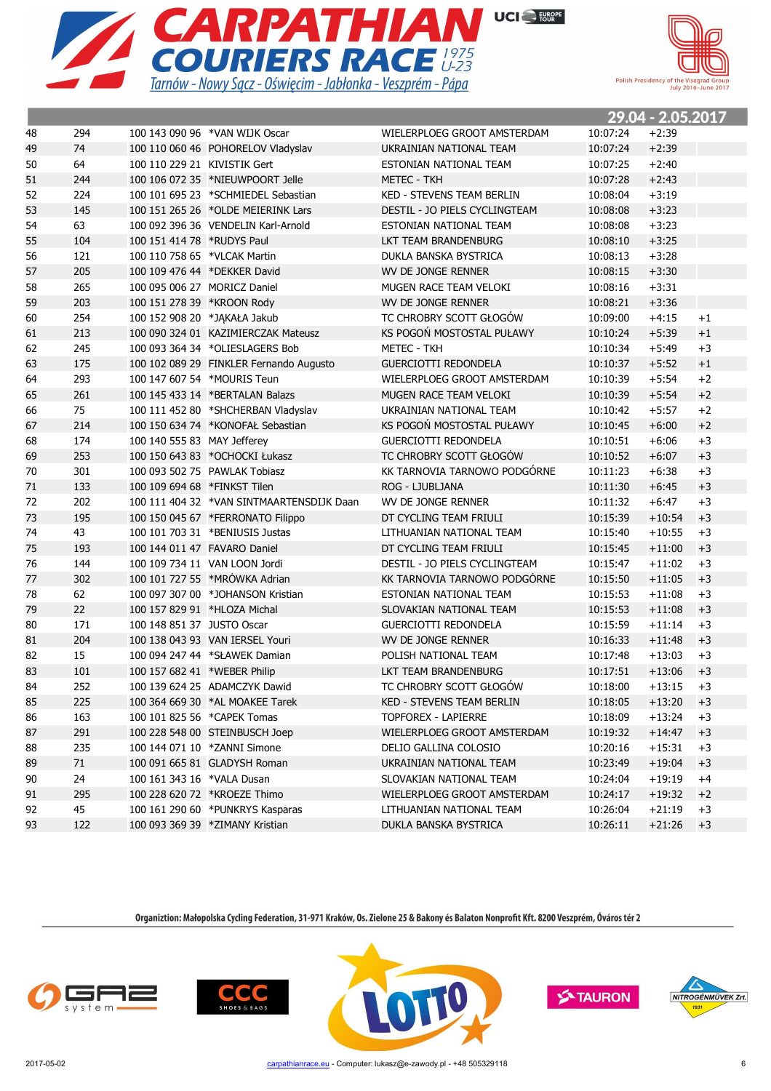



|    |     |                              |                                           |                                  |          | 29.04 - 2.05.2017 |      |
|----|-----|------------------------------|-------------------------------------------|----------------------------------|----------|-------------------|------|
| 48 | 294 |                              | 100 143 090 96 *VAN WIJK Oscar            | WIELERPLOEG GROOT AMSTERDAM      | 10:07:24 | $+2:39$           |      |
| 49 | 74  |                              | 100 110 060 46 POHORELOV Vladyslav        | UKRAINIAN NATIONAL TEAM          | 10:07:24 | $+2:39$           |      |
| 50 | 64  | 100 110 229 21 KIVISTIK Gert |                                           | ESTONIAN NATIONAL TEAM           | 10:07:25 | $+2:40$           |      |
| 51 | 244 |                              | 100 106 072 35 *NIEUWPOORT Jelle          | <b>METEC - TKH</b>               | 10:07:28 | $+2:43$           |      |
| 52 | 224 |                              | 100 101 695 23 *SCHMIEDEL Sebastian       | <b>KED - STEVENS TEAM BERLIN</b> | 10:08:04 | $+3:19$           |      |
| 53 | 145 |                              | 100 151 265 26 *OLDE MEIERINK Lars        | DESTIL - JO PIELS CYCLINGTEAM    | 10:08:08 | $+3:23$           |      |
| 54 | 63  |                              | 100 092 396 36 VENDELIN Karl-Arnold       | ESTONIAN NATIONAL TEAM           | 10:08:08 | $+3:23$           |      |
| 55 | 104 | 100 151 414 78 *RUDYS Paul   |                                           | LKT TEAM BRANDENBURG             | 10:08:10 | $+3:25$           |      |
| 56 | 121 | 100 110 758 65 *VLCAK Martin |                                           | DUKLA BANSKA BYSTRICA            | 10:08:13 | $+3:28$           |      |
| 57 | 205 |                              | 100 109 476 44 *DEKKER David              | WV DE JONGE RENNER               | 10:08:15 | $+3:30$           |      |
| 58 | 265 |                              | 100 095 006 27 MORICZ Daniel              | MUGEN RACE TEAM VELOKI           | 10:08:16 | $+3:31$           |      |
| 59 | 203 | 100 151 278 39 *KROON Rody   |                                           | WV DE JONGE RENNER               | 10:08:21 | $+3:36$           |      |
| 60 | 254 |                              | 100 152 908 20 *JAKAŁA Jakub              | TC CHROBRY SCOTT GŁOGÓW          | 10:09:00 | $+4:15$           | $+1$ |
| 61 | 213 |                              | 100 090 324 01 KAZIMIERCZAK Mateusz       | KS POGOŃ MOSTOSTAL PUŁAWY        | 10:10:24 | $+5:39$           | $+1$ |
| 62 | 245 |                              | 100 093 364 34 *OLIESLAGERS Bob           | <b>METEC - TKH</b>               | 10:10:34 | $+5:49$           | $+3$ |
| 63 | 175 |                              | 100 102 089 29 FINKLER Fernando Augusto   | <b>GUERCIOTTI REDONDELA</b>      | 10:10:37 | $+5:52$           | $+1$ |
| 64 | 293 |                              | 100 147 607 54 *MOURIS Teun               | WIELERPLOEG GROOT AMSTERDAM      | 10:10:39 | $+5:54$           | $+2$ |
| 65 | 261 |                              | 100 145 433 14 *BERTALAN Balazs           | MUGEN RACE TEAM VELOKI           | 10:10:39 | $+5:54$           | $+2$ |
| 66 | 75  |                              | 100 111 452 80 *SHCHERBAN Vladyslav       | UKRAINIAN NATIONAL TEAM          | 10:10:42 | $+5:57$           | $+2$ |
| 67 | 214 |                              | 100 150 634 74 *KONOFAŁ Sebastian         | KS POGOŃ MOSTOSTAL PUŁAWY        | 10:10:45 | $+6:00$           | $+2$ |
| 68 | 174 | 100 140 555 83 MAY Jefferey  |                                           | <b>GUERCIOTTI REDONDELA</b>      | 10:10:51 | $+6:06$           | $+3$ |
| 69 | 253 |                              | 100 150 643 83 *OCHOCKI Łukasz            | TC CHROBRY SCOTT GŁOGÓW          | 10:10:52 | $+6:07$           | $+3$ |
| 70 | 301 |                              | 100 093 502 75 PAWLAK Tobiasz             | KK TARNOVIA TARNOWO PODGÓRNE     | 10:11:23 | $+6:38$           | $+3$ |
| 71 | 133 | 100 109 694 68 *FINKST Tilen |                                           | ROG - LJUBLJANA                  | 10:11:30 | $+6:45$           | $+3$ |
| 72 | 202 |                              | 100 111 404 32 *VAN SINTMAARTENSDIJK Daan | WV DE JONGE RENNER               | 10:11:32 | $+6:47$           | $+3$ |
| 73 | 195 |                              | 100 150 045 67 *FERRONATO Filippo         | DT CYCLING TEAM FRIULI           | 10:15:39 | $+10:54$          | $+3$ |
| 74 | 43  |                              | 100 101 703 31 *BENIUSIS Justas           | LITHUANIAN NATIONAL TEAM         | 10:15:40 | $+10:55$          | $+3$ |
| 75 | 193 |                              | 100 144 011 47 FAVARO Daniel              | DT CYCLING TEAM FRIULI           | 10:15:45 | $+11:00$          | $+3$ |
| 76 | 144 |                              | 100 109 734 11 VAN LOON Jordi             | DESTIL - JO PIELS CYCLINGTEAM    | 10:15:47 | $+11:02$          | $+3$ |
| 77 | 302 |                              | 100 101 727 55 *MRÓWKA Adrian             | KK TARNOVIA TARNOWO PODGÓRNE     | 10:15:50 | $+11:05$          | $+3$ |
| 78 | 62  |                              | 100 097 307 00 *JOHANSON Kristian         | ESTONIAN NATIONAL TEAM           | 10:15:53 | $+11:08$          | $+3$ |
| 79 | 22  | 100 157 829 91 *HLOZA Michal |                                           | SLOVAKIAN NATIONAL TEAM          | 10:15:53 | $+11:08$          | $+3$ |
| 80 | 171 | 100 148 851 37 JUSTO Oscar   |                                           | <b>GUERCIOTTI REDONDELA</b>      | 10:15:59 | $+11:14$          | $+3$ |
| 81 | 204 |                              | 100 138 043 93 VAN IERSEL Youri           | WV DE JONGE RENNER               | 10:16:33 | $+11:48$          | $+3$ |
| 82 | 15  |                              | 100 094 247 44 *SŁAWEK Damian             | POLISH NATIONAL TEAM             | 10:17:48 | $+13:03$          | $+3$ |
| 83 | 101 | 100 157 682 41 *WEBER Philip |                                           | LKT TEAM BRANDENBURG             | 10:17:51 | $+13:06$          | $+3$ |
| 84 | 252 |                              | 100 139 624 25 ADAMCZYK Dawid             | TC CHROBRY SCOTT GŁOGÓW          | 10:18:00 | $+13:15$          | $+3$ |
| 85 | 225 |                              | 100 364 669 30 *AL MOAKEE Tarek           | KED - STEVENS TEAM BERLIN        | 10:18:05 | $+13:20$          | $+3$ |
| 86 | 163 |                              | 100 101 825 56 *CAPEK Tomas               | TOPFOREX - LAPIERRE              | 10:18:09 | $+13:24$          | $+3$ |
| 87 | 291 |                              | 100 228 548 00 STEINBUSCH Joep            | WIELERPLOEG GROOT AMSTERDAM      | 10:19:32 | $+14:47$          | $+3$ |
| 88 | 235 |                              | 100 144 071 10 *ZANNI Simone              | DELIO GALLINA COLOSIO            | 10:20:16 | $+15:31$          | $+3$ |
| 89 | 71  |                              | 100 091 665 81 GLADYSH Roman              | UKRAINIAN NATIONAL TEAM          | 10:23:49 | $+19:04$          | $+3$ |
| 90 | 24  | 100 161 343 16 *VALA Dusan   |                                           | SLOVAKIAN NATIONAL TEAM          | 10:24:04 | $+19:19$          | $+4$ |
| 91 | 295 |                              | 100 228 620 72 *KROEZE Thimo              | WIELERPLOEG GROOT AMSTERDAM      | 10:24:17 | $+19:32$          | $+2$ |
| 92 | 45  |                              | 100 161 290 60 *PUNKRYS Kasparas          | LITHUANIAN NATIONAL TEAM         | 10:26:04 | $+21:19$          | $+3$ |
| 93 | 122 |                              | 100 093 369 39 *ZIMANY Kristian           | DUKLA BANSKA BYSTRICA            | 10:26:11 | $+21:26$          | $+3$ |







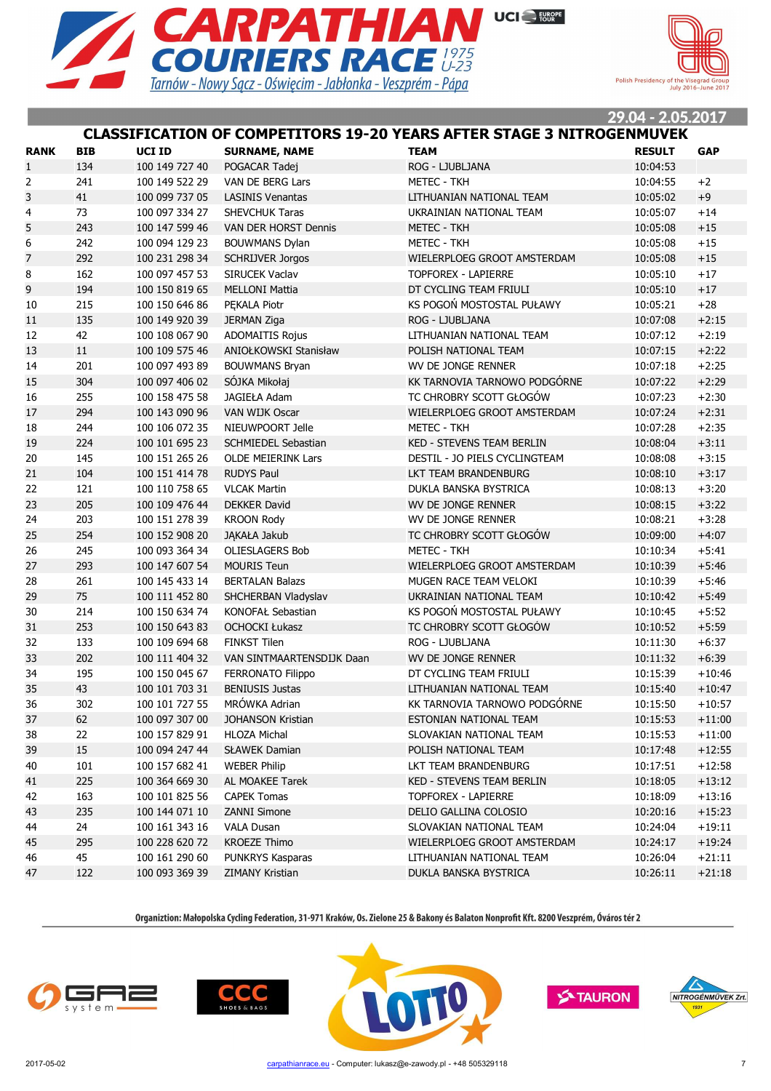



#### **CLASSIFICATION OF COMPETITORS 19-20 YEARS AFTER STAGE 3 NITROGENMUVEK**

| <b>RANK</b>    | <b>BIB</b> | <b>UCI ID</b>  | <b>SURNAME, NAME</b>        | TEAM                             | <b>RESULT</b> | <b>GAP</b> |
|----------------|------------|----------------|-----------------------------|----------------------------------|---------------|------------|
| $\mathbf{1}$   | 134        | 100 149 727 40 | POGACAR Tadej               | ROG - LJUBLJANA                  | 10:04:53      |            |
| $\overline{2}$ | 241        | 100 149 522 29 | VAN DE BERG Lars            | <b>METEC - TKH</b>               | 10:04:55      | $+2$       |
| 3              | 41         | 100 099 737 05 | <b>LASINIS Venantas</b>     | LITHUANIAN NATIONAL TEAM         | 10:05:02      | $+9$       |
| 4              | 73         | 100 097 334 27 | <b>SHEVCHUK Taras</b>       | UKRAINIAN NATIONAL TEAM          | 10:05:07      | $+14$      |
| 5              | 243        | 100 147 599 46 | <b>VAN DER HORST Dennis</b> | <b>METEC - TKH</b>               | 10:05:08      | $+15$      |
| 6              | 242        | 100 094 129 23 | <b>BOUWMANS Dylan</b>       | <b>METEC - TKH</b>               | 10:05:08      | $+15$      |
| $\overline{7}$ | 292        | 100 231 298 34 | <b>SCHRIJVER Jorgos</b>     | WIELERPLOEG GROOT AMSTERDAM      | 10:05:08      | $+15$      |
| 8              | 162        | 100 097 457 53 | SIRUCEK Vaclav              | <b>TOPFOREX - LAPIERRE</b>       | 10:05:10      | $+17$      |
| 9              | 194        | 100 150 819 65 | <b>MELLONI Mattia</b>       | DT CYCLING TEAM FRIULI           | 10:05:10      | $+17$      |
| 10             | 215        | 100 150 646 86 | PEKALA Piotr                | KS POGOŃ MOSTOSTAL PUŁAWY        | 10:05:21      | $+28$      |
| 11             | 135        | 100 149 920 39 | <b>JERMAN Ziga</b>          | ROG - LJUBLJANA                  | 10:07:08      | $+2:15$    |
| 12             | 42         | 100 108 067 90 | <b>ADOMAITIS Rojus</b>      | LITHUANIAN NATIONAL TEAM         | 10:07:12      | $+2:19$    |
| 13             | 11         | 100 109 575 46 | ANIOŁKOWSKI Stanisław       | POLISH NATIONAL TEAM             | 10:07:15      | $+2:22$    |
| 14             | 201        | 100 097 493 89 | <b>BOUWMANS Bryan</b>       | WV DE JONGE RENNER               | 10:07:18      | $+2:25$    |
| 15             | 304        | 100 097 406 02 | SÓJKA Mikołaj               | KK TARNOVIA TARNOWO PODGÓRNE     | 10:07:22      | $+2:29$    |
| 16             | 255        | 100 158 475 58 | JAGIEŁA Adam                | TC CHROBRY SCOTT GŁOGÓW          | 10:07:23      | $+2:30$    |
| 17             | 294        | 100 143 090 96 | <b>VAN WIJK Oscar</b>       | WIELERPLOEG GROOT AMSTERDAM      | 10:07:24      | $+2:31$    |
| 18             | 244        | 100 106 072 35 | NIEUWPOORT Jelle            | <b>METEC - TKH</b>               | 10:07:28      | $+2:35$    |
| 19             | 224        | 100 101 695 23 | SCHMIEDEL Sebastian         | <b>KED - STEVENS TEAM BERLIN</b> | 10:08:04      | $+3:11$    |
| 20             | 145        | 100 151 265 26 | <b>OLDE MEIERINK Lars</b>   | DESTIL - JO PIELS CYCLINGTEAM    | 10:08:08      | $+3:15$    |
| 21             | 104        | 100 151 414 78 | <b>RUDYS Paul</b>           | LKT TEAM BRANDENBURG             | 10:08:10      | $+3:17$    |
| 22             | 121        | 100 110 758 65 | <b>VLCAK Martin</b>         | DUKLA BANSKA BYSTRICA            | 10:08:13      | $+3:20$    |
| 23             | 205        | 100 109 476 44 | <b>DEKKER David</b>         | <b>WV DE JONGE RENNER</b>        | 10:08:15      | $+3:22$    |
| 24             | 203        | 100 151 278 39 | <b>KROON Rody</b>           | WV DE JONGE RENNER               | 10:08:21      | $+3:28$    |
| 25             | 254        | 100 152 908 20 | JĄKAŁA Jakub                | TC CHROBRY SCOTT GŁOGÓW          | 10:09:00      | $+4:07$    |
| 26             | 245        | 100 093 364 34 | <b>OLIESLAGERS Bob</b>      | <b>METEC - TKH</b>               | 10:10:34      | $+5:41$    |
| 27             | 293        | 100 147 607 54 | <b>MOURIS Teun</b>          | WIELERPLOEG GROOT AMSTERDAM      | 10:10:39      | $+5:46$    |
| 28             | 261        | 100 145 433 14 | <b>BERTALAN Balazs</b>      | MUGEN RACE TEAM VELOKI           | 10:10:39      | $+5:46$    |
| 29             | 75         | 100 111 452 80 | SHCHERBAN Vladyslav         | UKRAINIAN NATIONAL TEAM          | 10:10:42      | $+5:49$    |
| 30             | 214        | 100 150 634 74 | KONOFAŁ Sebastian           | KS POGOŃ MOSTOSTAL PUŁAWY        | 10:10:45      | $+5:52$    |
| 31             | 253        | 100 150 643 83 | <b>OCHOCKI Łukasz</b>       | TC CHROBRY SCOTT GŁOGÓW          | 10:10:52      | $+5:59$    |
| 32             | 133        | 100 109 694 68 | <b>FINKST Tilen</b>         | ROG - LJUBLJANA                  | 10:11:30      | $+6:37$    |
| 33             | 202        | 100 111 404 32 | VAN SINTMAARTENSDIJK Daan   | <b>WV DE JONGE RENNER</b>        | 10:11:32      | $+6:39$    |
| 34             | 195        | 100 150 045 67 | FERRONATO Filippo           | DT CYCLING TEAM FRIULI           | 10:15:39      | $+10:46$   |
| 35             | 43         | 100 101 703 31 | <b>BENIUSIS Justas</b>      | LITHUANIAN NATIONAL TEAM         | 10:15:40      | $+10:47$   |
| 36             | 302        | 100 101 727 55 | MRÓWKA Adrian               | KK TARNOVIA TARNOWO PODGÓRNE     | 10:15:50      | $+10:57$   |
| 37             | 62         | 100 097 307 00 | JOHANSON Kristian           | ESTONIAN NATIONAL TEAM           | 10:15:53      | $+11:00$   |
| 38             | 22         | 100 157 829 91 | <b>HLOZA Michal</b>         | SLOVAKIAN NATIONAL TEAM          | 10:15:53      | $+11:00$   |
| 39             | 15         | 100 094 247 44 | <b>SŁAWEK Damian</b>        | POLISH NATIONAL TEAM             | 10:17:48      | $+12:55$   |
| 40             | 101        | 100 157 682 41 | <b>WEBER Philip</b>         | LKT TEAM BRANDENBURG             | 10:17:51      | $+12:58$   |
| 41             | 225        | 100 364 669 30 | AL MOAKEE Tarek             | KED - STEVENS TEAM BERLIN        | 10:18:05      | $+13:12$   |
| 42             | 163        | 100 101 825 56 | <b>CAPEK Tomas</b>          | TOPFOREX - LAPIERRE              | 10:18:09      | $+13:16$   |
| 43             | 235        | 100 144 071 10 | <b>ZANNI Simone</b>         | DELIO GALLINA COLOSIO            | 10:20:16      | $+15:23$   |
| 44             | 24         | 100 161 343 16 | <b>VALA Dusan</b>           | SLOVAKIAN NATIONAL TEAM          | 10:24:04      | $+19:11$   |
| 45             | 295        | 100 228 620 72 | <b>KROEZE Thimo</b>         | WIELERPLOEG GROOT AMSTERDAM      | 10:24:17      | $+19:24$   |
| 46             | 45         | 100 161 290 60 | PUNKRYS Kasparas            | LITHUANIAN NATIONAL TEAM         | 10:26:04      | $+21:11$   |
| 47             | 122        | 100 093 369 39 | ZIMANY Kristian             | DUKLA BANSKA BYSTRICA            | 10:26:11      | $+21:18$   |
|                |            |                |                             |                                  |               |            |







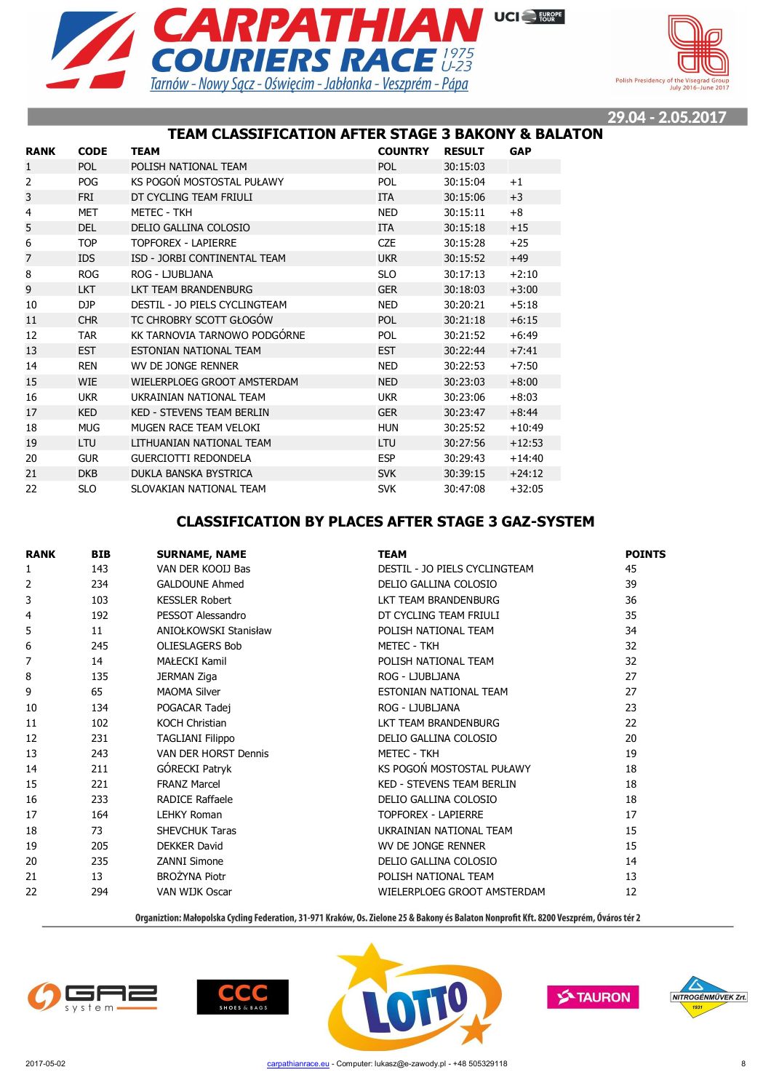



## **TEAM CLASSIFICATION AFTER STAGE 3 BAKONY & BALATON**

| <b>RANK</b> | <b>CODE</b> | <b>TEAM</b>                      | <b>COUNTRY</b> | <b>RESULT</b> | <b>GAP</b> |
|-------------|-------------|----------------------------------|----------------|---------------|------------|
| 1           | <b>POL</b>  | POLISH NATIONAL TEAM             | <b>POL</b>     | 30:15:03      |            |
| 2           | POG         | KS POGOŃ MOSTOSTAL PUŁAWY        | <b>POL</b>     | 30:15:04      | $+1$       |
| 3           | <b>FRI</b>  | DT CYCLING TEAM FRIULI           | <b>ITA</b>     | 30:15:06      | $+3$       |
| 4           | <b>MET</b>  | <b>METEC - TKH</b>               | <b>NED</b>     | 30:15:11      | $+8$       |
| 5           | <b>DEL</b>  | DELIO GALLINA COLOSIO            | <b>ITA</b>     | 30:15:18      | $+15$      |
| 6           | <b>TOP</b>  | <b>TOPFOREX - LAPIERRE</b>       | <b>CZE</b>     | 30:15:28      | $+25$      |
| 7           | <b>IDS</b>  | ISD - JORBI CONTINENTAL TEAM     | <b>UKR</b>     | 30:15:52      | $+49$      |
| 8           | <b>ROG</b>  | ROG - LJUBLJANA                  | <b>SLO</b>     | 30:17:13      | $+2:10$    |
| 9           | <b>LKT</b>  | LKT TEAM BRANDENBURG             | <b>GER</b>     | 30:18:03      | $+3:00$    |
| 10          | DJP         | DESTIL - JO PIELS CYCLINGTEAM    | <b>NED</b>     | 30:20:21      | $+5:18$    |
| 11          | <b>CHR</b>  | TC CHROBRY SCOTT GŁOGÓW          | <b>POL</b>     | 30:21:18      | $+6:15$    |
| 12          | <b>TAR</b>  | KK TARNOVIA TARNOWO PODGÓRNE     | <b>POL</b>     | 30:21:52      | $+6:49$    |
| 13          | <b>EST</b>  | ESTONIAN NATIONAL TEAM           | <b>EST</b>     | 30:22:44      | $+7:41$    |
| 14          | <b>REN</b>  | WV DE JONGE RENNER               | <b>NED</b>     | 30:22:53      | $+7:50$    |
| 15          | <b>WIE</b>  | WIELERPLOEG GROOT AMSTERDAM      | <b>NED</b>     | 30:23:03      | $+8:00$    |
| 16          | <b>UKR</b>  | UKRAINIAN NATIONAL TEAM          | <b>UKR</b>     | 30:23:06      | $+8:03$    |
| 17          | <b>KED</b>  | <b>KED - STEVENS TEAM BERLIN</b> | <b>GER</b>     | 30:23:47      | $+8:44$    |
| 18          | <b>MUG</b>  | MUGEN RACE TEAM VELOKI           | <b>HUN</b>     | 30:25:52      | $+10:49$   |
| 19          | LTU         | LITHUANIAN NATIONAL TEAM         | <b>LTU</b>     | 30:27:56      | $+12:53$   |
| 20          | <b>GUR</b>  | <b>GUERCIOTTI REDONDELA</b>      | <b>ESP</b>     | 30:29:43      | $+14:40$   |
| 21          | <b>DKB</b>  | DUKLA BANSKA BYSTRICA            | <b>SVK</b>     | 30:39:15      | $+24:12$   |
| 22          | <b>SLO</b>  | SLOVAKIAN NATIONAL TEAM          | <b>SVK</b>     | 30:47:08      | $+32:05$   |

## **CLASSIFICATION BY PLACES AFTER STAGE 3 GAZ-SYSTEM**

| <b>RANK</b>    | <b>BIB</b> | <b>SURNAME, NAME</b>    | <b>TEAM</b>                      | <b>POINTS</b> |
|----------------|------------|-------------------------|----------------------------------|---------------|
| 1              | 143        | VAN DER KOOLI Bas       | DESTIL - JO PIELS CYCLINGTEAM    | 45            |
| $\overline{2}$ | 234        | <b>GALDOUNE Ahmed</b>   | DELIO GALLINA COLOSIO            | 39            |
| 3              | 103        | <b>KESSLER Robert</b>   | LKT TEAM BRANDENBURG             | 36            |
| 4              | 192        | PESSOT Alessandro       | DT CYCLING TEAM FRIULI           | 35            |
| 5              | 11         | ANIOŁKOWSKI Stanisław   | POLISH NATIONAL TEAM             | 34            |
| 6              | 245        | <b>OLIESLAGERS Bob</b>  | <b>METEC - TKH</b>               | 32            |
| 7              | 14         | MAŁECKI Kamil           | POLISH NATIONAL TEAM             | 32            |
| 8              | 135        | <b>JERMAN Ziga</b>      | ROG - LJUBLJANA                  | 27            |
| 9              | 65         | <b>MAOMA Silver</b>     | ESTONIAN NATIONAL TEAM           | 27            |
| 10             | 134        | POGACAR Tadej           | ROG - LJUBLJANA                  | 23            |
| 11             | 102        | <b>KOCH Christian</b>   | LKT TEAM BRANDENBURG             | 22            |
| 12             | 231        | <b>TAGLIANI Filippo</b> | DELIO GALLINA COLOSIO            | 20            |
| 13             | 243        | VAN DER HORST Dennis    | <b>METEC - TKH</b>               | 19            |
| 14             | 211        | GÓRECKI Patryk          | KS POGOŃ MOSTOSTAL PUŁAWY        | 18            |
| 15             | 221        | <b>FRANZ Marcel</b>     | <b>KED - STEVENS TEAM BERLIN</b> | 18            |
| 16             | 233        | <b>RADICE Raffaele</b>  | DELIO GALLINA COLOSIO            | 18            |
| 17             | 164        | <b>LEHKY Roman</b>      | <b>TOPFOREX - LAPIERRE</b>       | 17            |
| 18             | 73         | <b>SHEVCHUK Taras</b>   | UKRAINIAN NATIONAL TEAM          | 15            |
| 19             | 205        | <b>DEKKER David</b>     | WV DE JONGE RENNER               | 15            |
| 20             | 235        | <b>ZANNI Simone</b>     | DELIO GALLINA COLOSIO            | 14            |
| 21             | 13         | <b>BROŻYNA Piotr</b>    | POLISH NATIONAL TEAM             | 13            |
| 22             | 294        | VAN WIJK Oscar          | WIELERPLOEG GROOT AMSTERDAM      | 12            |







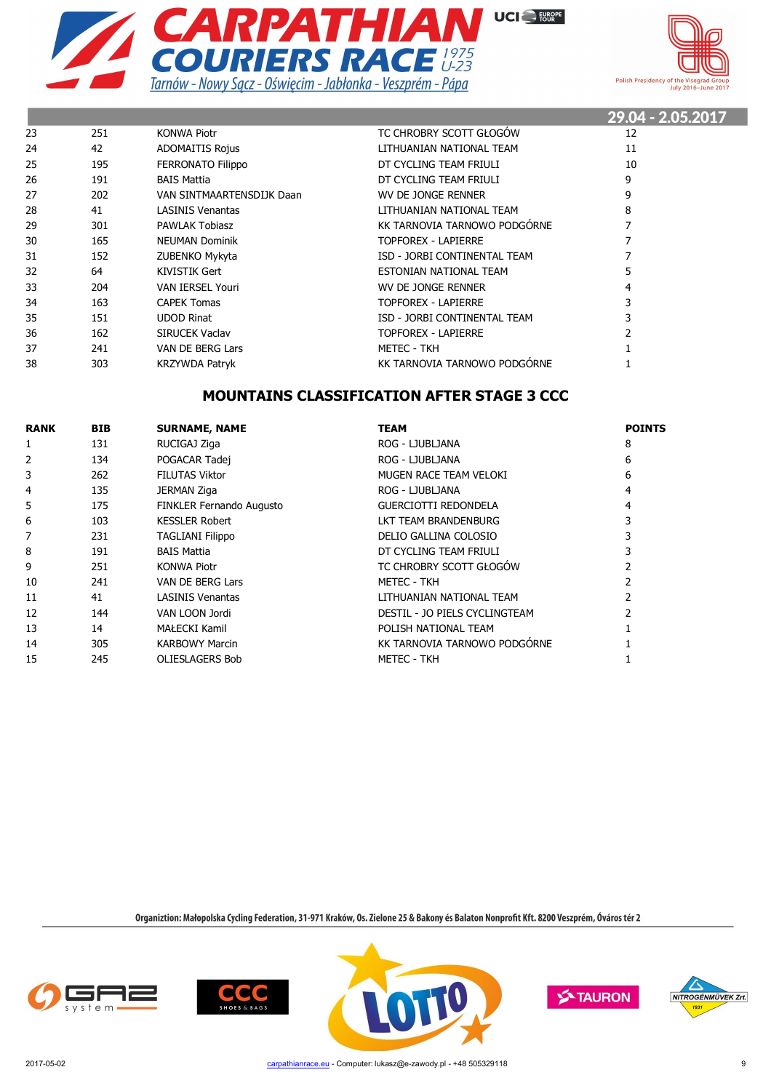



|    |     |                           |                              | 29.04 - 2.05.2017 |
|----|-----|---------------------------|------------------------------|-------------------|
| 23 | 251 | <b>KONWA Piotr</b>        | TC CHROBRY SCOTT GŁOGÓW      | 12                |
| 24 | 42  | <b>ADOMAITIS Rojus</b>    | LITHUANIAN NATIONAL TEAM     | 11                |
| 25 | 195 | <b>FERRONATO Filippo</b>  | DT CYCLING TEAM FRIULI       | 10                |
| 26 | 191 | <b>BAIS Mattia</b>        | DT CYCLING TEAM FRIULI       | 9                 |
| 27 | 202 | VAN SINTMAARTENSDIJK Daan | WV DE JONGE RENNER           | 9                 |
| 28 | 41  | <b>LASINIS Venantas</b>   | LITHUANIAN NATIONAL TEAM     | 8                 |
| 29 | 301 | <b>PAWLAK Tobiasz</b>     | KK TARNOVIA TARNOWO PODGÓRNE |                   |
| 30 | 165 | <b>NEUMAN Dominik</b>     | TOPFOREX - LAPIERRE          |                   |
| 31 | 152 | ZUBENKO Mykyta            | ISD - JORBI CONTINENTAL TEAM |                   |
| 32 | 64  | KIVISTIK Gert             | ESTONIAN NATIONAL TEAM       | 5                 |
| 33 | 204 | <b>VAN IERSEL Youri</b>   | WV DE JONGE RENNER           | 4                 |
| 34 | 163 | <b>CAPEK Tomas</b>        | TOPFOREX - LAPIERRE          | 3                 |
| 35 | 151 | <b>UDOD Rinat</b>         | ISD - JORBI CONTINENTAL TEAM |                   |
| 36 | 162 | <b>SIRUCEK Vaclav</b>     | TOPFOREX - LAPIERRE          |                   |
| 37 | 241 | VAN DE BERG Lars          | <b>METEC - TKH</b>           |                   |
| 38 | 303 | <b>KRZYWDA Patryk</b>     | KK TARNOVIA TARNOWO PODGÓRNE |                   |

## **MOUNTAINS CLASSIFICATION AFTER STAGE 3 CCC**

| <b>RANK</b> | <b>BIB</b> | <b>SURNAME, NAME</b>            | <b>TEAM</b>                   | <b>POINTS</b> |
|-------------|------------|---------------------------------|-------------------------------|---------------|
|             | 131        | RUCIGAJ Ziga                    | ROG - LJUBLJANA               | 8             |
| 2           | 134        | POGACAR Tadej                   | ROG - LJUBLJANA               | 6             |
| 3           | 262        | <b>FILUTAS Viktor</b>           | MUGEN RACE TEAM VELOKI        | 6             |
| 4           | 135        | JERMAN Ziga                     | ROG - LJUBLJANA               |               |
| 5           | 175        | <b>FINKLER Fernando Augusto</b> | <b>GUERCIOTTI REDONDELA</b>   |               |
| 6           | 103        | <b>KESSLER Robert</b>           | LKT TEAM BRANDENBURG          |               |
|             | 231        | <b>TAGLIANI Filippo</b>         | DELIO GALLINA COLOSIO         |               |
| 8           | 191        | <b>BAIS Mattia</b>              | DT CYCLING TEAM FRIULI        |               |
| 9           | 251        | <b>KONWA Piotr</b>              | TC CHROBRY SCOTT GŁOGÓW       |               |
| 10          | 241        | VAN DE BERG Lars                | METEC - TKH                   |               |
| 11          | 41         | <b>LASINIS Venantas</b>         | LITHUANIAN NATIONAL TEAM      |               |
| 12          | 144        | VAN LOON Jordi                  | DESTIL - JO PIELS CYCLINGTEAM |               |
| 13          | 14         | MAŁECKI Kamil                   | POLISH NATIONAL TEAM          |               |
| 14          | 305        | <b>KARBOWY Marcin</b>           | KK TARNOVIA TARNOWO PODGÓRNE  |               |
| 15          | 245        | <b>OLIESLAGERS Bob</b>          | <b>METEC - TKH</b>            |               |









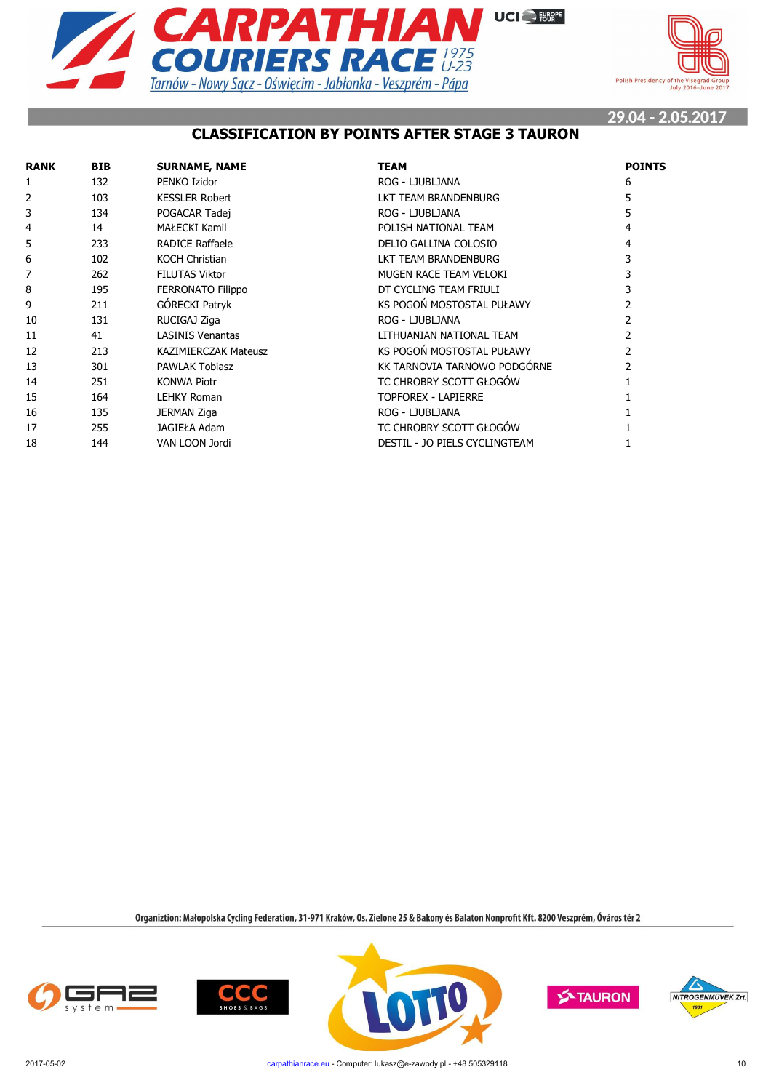



## **CLASSIFICATION BY POINTS AFTER STAGE 3 TAURON**

| <b>RANK</b> | <b>BIB</b> | <b>SURNAME, NAME</b>        | <b>TEAM</b>                   | <b>POINTS</b> |
|-------------|------------|-----------------------------|-------------------------------|---------------|
| 1           | 132        | PENKO Izidor                | ROG - LJUBLJANA               | 6             |
| 2           | 103        | <b>KESSLER Robert</b>       | LKT TEAM BRANDENBURG          |               |
| 3           | 134        | POGACAR Tadej               | ROG - LJUBLJANA               |               |
| 4           | 14         | <b>MAŁECKI Kamil</b>        | POLISH NATIONAL TEAM          |               |
| 5           | 233        | RADICE Raffaele             | DELIO GALLINA COLOSIO         | 4             |
| 6           | 102        | <b>KOCH Christian</b>       | LKT TEAM BRANDENBURG          |               |
|             | 262        | <b>FILUTAS Viktor</b>       | MUGEN RACE TEAM VELOKI        |               |
| 8           | 195        | <b>FERRONATO Filippo</b>    | DT CYCLING TEAM FRIULI        |               |
| 9           | 211        | GÓRECKI Patryk              | KS POGOŃ MOSTOSTAL PUŁAWY     |               |
| 10          | 131        | RUCIGAJ Ziga                | ROG - LJUBLJANA               |               |
| 11          | 41         | <b>LASINIS Venantas</b>     | LITHUANIAN NATIONAL TEAM      |               |
| 12          | 213        | <b>KAZIMIERCZAK Mateusz</b> | KS POGOŃ MOSTOSTAL PUŁAWY     |               |
| 13          | 301        | <b>PAWLAK Tobiasz</b>       | KK TARNOVIA TARNOWO PODGÓRNE  |               |
| 14          | 251        | <b>KONWA Piotr</b>          | TC CHROBRY SCOTT GŁOGÓW       |               |
| 15          | 164        | <b>LEHKY Roman</b>          | <b>TOPFOREX - LAPIERRE</b>    |               |
| 16          | 135        | <b>JERMAN Ziga</b>          | ROG - LJUBLJANA               |               |
| 17          | 255        | <b>JAGIEŁA Adam</b>         | TC CHROBRY SCOTT GŁOGÓW       |               |
| 18          | 144        | VAN LOON Jordi              | DESTIL - JO PIELS CYCLINGTEAM |               |